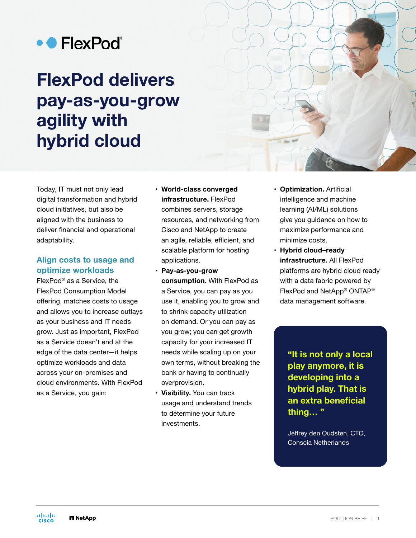

## **FlexPod delivers pay-as-you-grow agility with hybrid cloud**

Today, IT must not only lead digital transformation and hybrid cloud initiatives, but also be aligned with the business to deliver financial and operational adaptability.

## **Align costs to usage and optimize workloads**

FlexPod® as a Service, the FlexPod Consumption Model offering, matches costs to usage and allows you to increase outlays as your business and IT needs grow. Just as important, FlexPod as a Service doesn't end at the edge of the data center—it helps optimize workloads and data across your on-premises and cloud environments. With FlexPod as a Service, you gain:

- **World-class converged infrastructure.** FlexPod combines servers, storage resources, and networking from Cisco and NetApp to create an agile, reliable, efficient, and scalable platform for hosting applications.
- **• Pay-as-you-grow consumption.** With FlexPod as a Service, you can pay as you use it, enabling you to grow and to shrink capacity utilization on demand. Or you can pay as you grow; you can get growth capacity for your increased IT needs while scaling up on your own terms, without breaking the bank or having to continually overprovision.
- **Visibility.** You can track usage and understand trends to determine your future investments.
- **• Optimization.** Artificial intelligence and machine learning (AI/ML) solutions give you guidance on how to maximize performance and minimize costs.
- **• Hybrid cloud–ready infrastructure.** All FlexPod platforms are hybrid cloud ready with a data fabric powered by FlexPod and NetApp® ONTAP® data management software.

**"It is not only a local play anymore, it is developing into a hybrid play. That is an extra beneficial thing… "**

Jeffrey den Oudsten, CTO, Conscia Netherlands